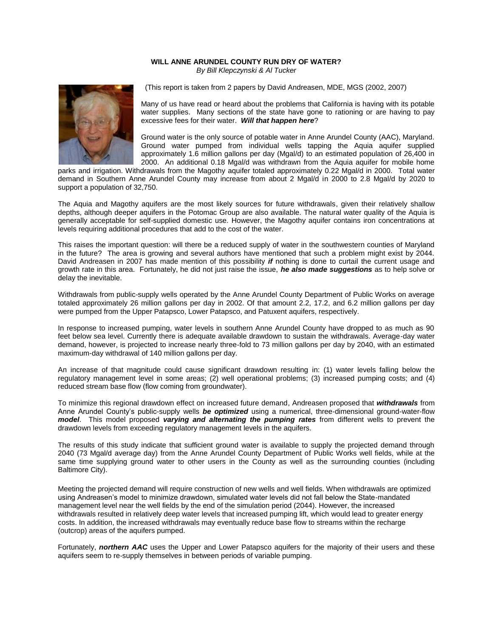## **WILL ANNE ARUNDEL COUNTY RUN DRY OF WATER?** *By Bill Klepczynski & Al Tucker*



(This report is taken from 2 papers by David Andreasen, MDE, MGS (2002, 2007)

Many of us have read or heard about the problems that California is having with its potable water supplies. Many sections of the state have gone to rationing or are having to pay excessive fees for their water. *Will that happen here*?

Ground water is the only source of potable water in Anne Arundel County (AAC), Maryland. Ground water pumped from individual wells tapping the Aquia aquifer supplied approximately 1.6 million gallons per day (Mgal/d) to an estimated population of 26,400 in 2000. An additional 0.18 Mgal/d was withdrawn from the Aquia aquifer for mobile home

parks and irrigation. Withdrawals from the Magothy aquifer totaled approximately 0.22 Mgal/d in 2000. Total water demand in Southern Anne Arundel County may increase from about 2 Mgal/d in 2000 to 2.8 Mgal/d by 2020 to support a population of 32,750.

The Aquia and Magothy aquifers are the most likely sources for future withdrawals, given their relatively shallow depths, although deeper aquifers in the Potomac Group are also available. The natural water quality of the Aquia is generally acceptable for self-supplied domestic use. However, the Magothy aquifer contains iron concentrations at levels requiring additional procedures that add to the cost of the water.

This raises the important question: will there be a reduced supply of water in the southwestern counties of Maryland in the future? The area is growing and several authors have mentioned that such a problem might exist by 2044. David Andreasen in 2007 has made mention of this possibility *if* nothing is done to curtail the current usage and growth rate in this area. Fortunately, he did not just raise the issue, *he also made suggestions* as to help solve or delay the inevitable.

Withdrawals from public-supply wells operated by the Anne Arundel County Department of Public Works on average totaled approximately 26 million gallons per day in 2002. Of that amount 2.2, 17.2, and 6.2 million gallons per day were pumped from the Upper Patapsco, Lower Patapsco, and Patuxent aquifers, respectively.

In response to increased pumping, water levels in southern Anne Arundel County have dropped to as much as 90 feet below sea level. Currently there is adequate available drawdown to sustain the withdrawals. Average-day water demand, however, is projected to increase nearly three-fold to 73 million gallons per day by 2040, with an estimated maximum-day withdrawal of 140 million gallons per day.

An increase of that magnitude could cause significant drawdown resulting in: (1) water levels falling below the regulatory management level in some areas; (2) well operational problems; (3) increased pumping costs; and (4) reduced stream base flow (flow coming from groundwater).

To minimize this regional drawdown effect on increased future demand, Andreasen proposed that *withdrawals* from Anne Arundel County's public-supply wells *be optimized* using a numerical, three-dimensional ground-water-flow *model*. This model proposed *varying and alternating the pumping rates* from different wells to prevent the drawdown levels from exceeding regulatory management levels in the aquifers.

The results of this study indicate that sufficient ground water is available to supply the projected demand through 2040 (73 Mgal/d average day) from the Anne Arundel County Department of Public Works well fields, while at the same time supplying ground water to other users in the County as well as the surrounding counties (including Baltimore City).

Meeting the projected demand will require construction of new wells and well fields. When withdrawals are optimized using Andreasen's model to minimize drawdown, simulated water levels did not fall below the State-mandated management level near the well fields by the end of the simulation period (2044). However, the increased withdrawals resulted in relatively deep water levels that increased pumping lift, which would lead to greater energy costs. In addition, the increased withdrawals may eventually reduce base flow to streams within the recharge (outcrop) areas of the aquifers pumped.

Fortunately, *northern AAC* uses the Upper and Lower Patapsco aquifers for the majority of their users and these aquifers seem to re-supply themselves in between periods of variable pumping.